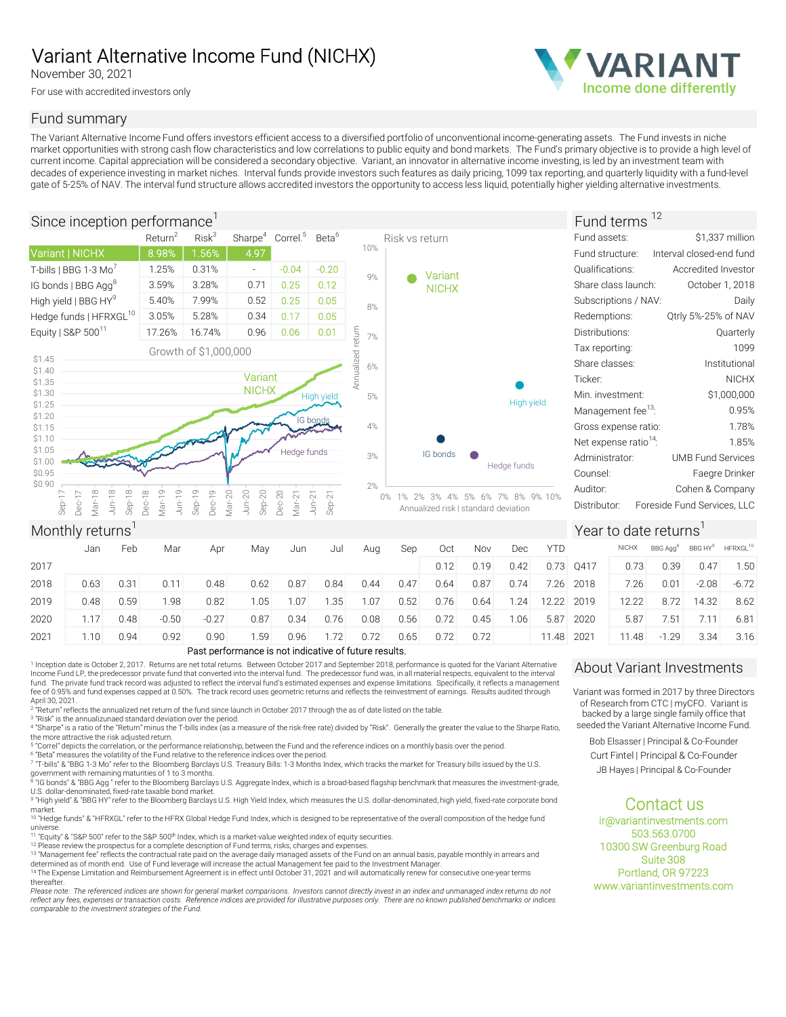# Variant Alternative Income Fund (NICHX)

November 30, 2021

For use with accredited investors only

## Fund summary

Variant Alternative Income Fund (NICHX)<br>For use with accredited investors only<br>For use with accredited investors only<br>The Variant Alternative Income Fund offers investors efficient access to a diversified portfolio of unco **Variant Alternative Income Fund (NICHX)**<br>
For use with accredited investors only<br>
For use with accredited investors only<br> **Example 2018**<br>
The Variant Alternative income Fund offers investors efficient access to a diversi current income. Capital appreciation will be considered a secondary objective. Variant, an innovator in alternative income investing, is led by an investment team with decades of experience investing in market niches. Interval funds provide investors such features as daily pricing, 1099 tax reporting, and quarterly liquidity with a fund-level qate of 5-25% of NAV. The interval fund struc Variant Alternative Income Fund (NICHX)<br>
For use with accredited investors only<br>
Fund Summary (income done differently<br>
Fund Summary (income done differently<br>
Example of Nation and The interval fund structure alternative







| Tax reporting:<br>Growth of \$1,000,000<br>Annualized<br>\$1.45<br>Share classes:<br>Institutional<br>$6\%$<br>\$1.40<br>Variant<br>Ticker:<br>\$1.35<br><b>NICHX</b><br>\$1.30<br>\$1,000,000<br>Min. investment:<br>5%<br>High yield<br>High yield<br>\$1.25<br>Management fee <sup>13</sup> :<br>\$1.20<br>IG bor<br>1.78%<br>4%<br>Gross expense ratio:<br>\$1.15<br>\$1.10<br>1.85%<br>Net expense ratio <sup>14</sup> :<br>\$1.05<br>Hedge funds<br>IG bonds<br>3%<br>Administrator:<br><b>UMB Fund Services</b><br>\$1.00<br>Hedge funds<br>\$0.95<br>Faegre Drinker<br>Counsel:<br>\$0.90<br>2%<br>Auditor:<br>Cohen & Company<br>Mar-18<br>$Jun-18$<br>$Sep-18$<br>Dec-18<br>$J$ un-19<br>$Sep-19$<br>$Dec-19$<br>$Mar-20$<br>$Sep-17$<br>$Dec-17$<br>Mar-19<br>$J$ un-20<br>$Sep-20$<br>$Dec-20$<br>$Mar-21$<br>$J$ un-21<br>$\overline{2}$<br>0% 1% 2% 3% 4% 5% 6% 7% 8% 9% 10%<br>Sep<br>Foreside Fund Services, LLC<br>Distributor:<br>Annualized risk I standard deviation<br>Monthly returns<br>Year to date returns <sup>1</sup><br>BBG Agg <sup>8</sup><br>BBG $HY^9$<br><b>NICHX</b><br>Jan<br>Feb<br>Dec<br><b>YTD</b><br>Mar<br>Apr<br>May<br>Jun<br>Jul<br>Sep<br>Oct<br>Nov<br>Aug<br>0.12<br>0.19<br>0.42<br>0.73<br>Q417<br>0.73<br>0.39<br>2017<br>0.47<br>0.63<br>0.31<br>0.11<br>0.48<br>0.62<br>0.87<br>0.84<br>0.47<br>0.64<br>0.87<br>0.74<br>7.26<br>0.01<br>$-2.08$<br>2018<br>0.44<br>2018<br>7.26<br>0.82<br>0.52<br>0.76<br>8.72<br>14.32<br>0.48<br>0.59<br>1.98<br>1.05<br>1.07<br>1.35<br>1.07<br>0.64<br>1.24<br>12.22<br>2019<br>12.22<br>2019<br>$-0.50$<br>$-0.27$<br>0.72<br>0.48<br>0.87<br>0.34<br>0.76<br>0.08<br>0.56<br>0.45<br>1.06<br>5.87<br>2020<br>5.87<br>7.51<br>7.11<br>2020<br>1.17<br>0.90<br>0.96<br>0.94<br>0.92<br>1.59<br>1.72<br>0.72<br>0.72<br>0.72<br>$-1.29$<br>3.34<br>2021<br>1.10<br>0.65<br>11.48<br>2021<br>11.48<br>Past performance is not indicative of future results.<br>1 Inception date is October 2, 2017. Returns are net total returns. Between October 2017 and September 2018, performance is quoted for the Variant Alternative<br>About Variant Investments<br>Income Fund LP, the predecessor private fund that converted into the interval fund. The predecessor fund was, in all material respects, equivalent to the interval<br>fund. The private fund track record was adjusted to reflect the interval fund's estimated expenses and expense limitations. Specifically, it reflects a management<br>fee of 0.95% and fund expenses capped at 0.50%. The track record uses geometric returns and reflects the reinvestment of earnings. Results audited through<br>Variant was formed in 2017 by three Directors<br>April 30, 2021.<br>of Research from CTC   myCFO. Variant is<br><sup>2</sup> "Return" reflects the annualized net return of the fund since launch in October 2017 through the as of date listed on the table.<br>backed by a large single family office that<br><sup>3</sup> "Risk" is the annualizunaed standard deviation over the period.<br>seeded the Variant Alternative Income Fund.<br>4 "Sharpe" is a ratio of the "Return" minus the T-bills index (as a measure of the risk-free rate) divided by "Risk". Generally the greater the value to the Sharpe Ratio,<br>the more attractive the risk adjusted return.<br>Bob Elsasser   Principal & Co-Founder<br><sup>5</sup> "Correl" depicts the correlation, or the performance relationship, between the Fund and the reference indices on a monthly basis over the period.<br><sup>6</sup> "Beta" measures the volatility of the Fund relative to the reference indices over the period.<br>Curt Fintel   Principal & Co-Founder<br>7 "T-bills" & "BBG 1-3 Mo" refer to the Bloomberg Barclays U.S. Treasury Bills: 1-3 Months Index, which tracks the market for Treasury bills issued by the U.S.<br>JB Hayes   Principal & Co-Founder<br>government with remaining maturities of 1 to 3 months.<br><sup>8</sup> "IG bonds" & "BBG Agg " refer to the Bloomberg Barclays U.S. Aggregate Index, which is a broad-based flagship benchmark that measures the investment-grade,<br>U.S. dollar-denominated, fixed-rate taxable bond market.<br><sup>9</sup> "High yield" & "BBG HY" refer to the Bloomberg Barclays U.S. High Yield Index, which measures the U.S. dollar-denominated, high yield, fixed-rate corporate bond<br><b>Contact us</b><br>market.<br><sup>10</sup> "Hedge funds" & "HFRXGL" refer to the HFRX Global Hedge Fund Index, which is designed to be representative of the overall composition of the hedge fund<br>ir@variantinvestments.com<br>universe.<br>503.563.0700<br><sup>11</sup> "Equity" & "S&P 500" refer to the S&P 500® Index, which is a market-value weighted index of equity securities.<br><sup>12</sup> Please review the prospectus for a complete description of Fund terms, risks, charges and expenses.<br>10300 SW Greenburg Road<br><sup>13</sup> "Management fee" reflects the contractual rate paid on the average daily managed assets of the Fund on an annual basis, payable monthly in arrears and<br>Suite 308<br>determined as of month end. Use of Fund leverage will increase the actual Management fee paid to the Investment Manager.<br>Portland, OR 97223<br><sup>14</sup> The Expense Limitation and Reimbursement Agreement is in effect until October 31, 2021 and will automatically renew for consecutive one-year terms<br>thereafter.<br>www.variantinvestments.com<br>Please note: The referenced indices are shown for general market comparisons. Investors cannot directly invest in an index and unmanaged index returns do not<br>reflect any fees, expenses or transaction costs. Reference indices are provided for illustrative purposes only. There are no known published benchmarks or indices<br>comparable to the investment strategies of the Fund. | Lyuny jour oou |  |  |  | 7%<br>retu |  |  |  |  | . <b>.</b>           |
|-----------------------------------------------------------------------------------------------------------------------------------------------------------------------------------------------------------------------------------------------------------------------------------------------------------------------------------------------------------------------------------------------------------------------------------------------------------------------------------------------------------------------------------------------------------------------------------------------------------------------------------------------------------------------------------------------------------------------------------------------------------------------------------------------------------------------------------------------------------------------------------------------------------------------------------------------------------------------------------------------------------------------------------------------------------------------------------------------------------------------------------------------------------------------------------------------------------------------------------------------------------------------------------------------------------------------------------------------------------------------------------------------------------------------------------------------------------------------------------------------------------------------------------------------------------------------------------------------------------------------------------------------------------------------------------------------------------------------------------------------------------------------------------------------------------------------------------------------------------------------------------------------------------------------------------------------------------------------------------------------------------------------------------------------------------------------------------------------------------------------------------------------------------------------------------------------------------------------------------------------------------------------------------------------------------------------------------------------------------------------------------------------------------------------------------------------------------------------------------------------------------------------------------------------------------------------------------------------------------------------------------------------------------------------------------------------------------------------------------------------------------------------------------------------------------------------------------------------------------------------------------------------------------------------------------------------------------------------------------------------------------------------------------------------------------------------------------------------------------------------------------------------------------------------------------------------------------------------------------------------------------------------------------------------------------------------------------------------------------------------------------------------------------------------------------------------------------------------------------------------------------------------------------------------------------------------------------------------------------------------------------------------------------------------------------------------------------------------------------------------------------------------------------------------------------------------------------------------------------------------------------------------------------------------------------------------------------------------------------------------------------------------------------------------------------------------------------------------------------------------------------------------------------------------------------------------------------------------------------------------------------------------------------------------------------------------------------------------------------------------------------------------------------------------------------------------------------------------------------------------------------------------------------------------------------------------------------------------------------------------------------------------------------------------------------------------------------------------------------------------------------------------------------------------------------------------------------------------------------------------------------------------------------------------------------------------------------------------------------------------------------------------------------------------------------------------------------------------------------------------------------------------------------------------------------------------------------------------------------------------------------------------------------------------------------------------------------------------------------------------------------------------------------------------------------------------------------------------------------------------------------------------------------------------------------------------------------------------------------------------------------------------------------------------------------------------------------------------------------------------------------------------------------------------------------------------------------------------------------------------------------------------------------------|----------------|--|--|--|------------|--|--|--|--|----------------------|
|                                                                                                                                                                                                                                                                                                                                                                                                                                                                                                                                                                                                                                                                                                                                                                                                                                                                                                                                                                                                                                                                                                                                                                                                                                                                                                                                                                                                                                                                                                                                                                                                                                                                                                                                                                                                                                                                                                                                                                                                                                                                                                                                                                                                                                                                                                                                                                                                                                                                                                                                                                                                                                                                                                                                                                                                                                                                                                                                                                                                                                                                                                                                                                                                                                                                                                                                                                                                                                                                                                                                                                                                                                                                                                                                                                                                                                                                                                                                                                                                                                                                                                                                                                                                                                                                                                                                                                                                                                                                                                                                                                                                                                                                                                                                                                                                                                                                                                                                                                                                                                                                                                                                                                                                                                                                                                                                                                                                                                                                                                                                                                                                                                                                                                                                                                                                                                                                                                                 |                |  |  |  |            |  |  |  |  | 1099                 |
|                                                                                                                                                                                                                                                                                                                                                                                                                                                                                                                                                                                                                                                                                                                                                                                                                                                                                                                                                                                                                                                                                                                                                                                                                                                                                                                                                                                                                                                                                                                                                                                                                                                                                                                                                                                                                                                                                                                                                                                                                                                                                                                                                                                                                                                                                                                                                                                                                                                                                                                                                                                                                                                                                                                                                                                                                                                                                                                                                                                                                                                                                                                                                                                                                                                                                                                                                                                                                                                                                                                                                                                                                                                                                                                                                                                                                                                                                                                                                                                                                                                                                                                                                                                                                                                                                                                                                                                                                                                                                                                                                                                                                                                                                                                                                                                                                                                                                                                                                                                                                                                                                                                                                                                                                                                                                                                                                                                                                                                                                                                                                                                                                                                                                                                                                                                                                                                                                                                 |                |  |  |  |            |  |  |  |  |                      |
|                                                                                                                                                                                                                                                                                                                                                                                                                                                                                                                                                                                                                                                                                                                                                                                                                                                                                                                                                                                                                                                                                                                                                                                                                                                                                                                                                                                                                                                                                                                                                                                                                                                                                                                                                                                                                                                                                                                                                                                                                                                                                                                                                                                                                                                                                                                                                                                                                                                                                                                                                                                                                                                                                                                                                                                                                                                                                                                                                                                                                                                                                                                                                                                                                                                                                                                                                                                                                                                                                                                                                                                                                                                                                                                                                                                                                                                                                                                                                                                                                                                                                                                                                                                                                                                                                                                                                                                                                                                                                                                                                                                                                                                                                                                                                                                                                                                                                                                                                                                                                                                                                                                                                                                                                                                                                                                                                                                                                                                                                                                                                                                                                                                                                                                                                                                                                                                                                                                 |                |  |  |  |            |  |  |  |  | <b>NICHX</b>         |
|                                                                                                                                                                                                                                                                                                                                                                                                                                                                                                                                                                                                                                                                                                                                                                                                                                                                                                                                                                                                                                                                                                                                                                                                                                                                                                                                                                                                                                                                                                                                                                                                                                                                                                                                                                                                                                                                                                                                                                                                                                                                                                                                                                                                                                                                                                                                                                                                                                                                                                                                                                                                                                                                                                                                                                                                                                                                                                                                                                                                                                                                                                                                                                                                                                                                                                                                                                                                                                                                                                                                                                                                                                                                                                                                                                                                                                                                                                                                                                                                                                                                                                                                                                                                                                                                                                                                                                                                                                                                                                                                                                                                                                                                                                                                                                                                                                                                                                                                                                                                                                                                                                                                                                                                                                                                                                                                                                                                                                                                                                                                                                                                                                                                                                                                                                                                                                                                                                                 |                |  |  |  |            |  |  |  |  |                      |
|                                                                                                                                                                                                                                                                                                                                                                                                                                                                                                                                                                                                                                                                                                                                                                                                                                                                                                                                                                                                                                                                                                                                                                                                                                                                                                                                                                                                                                                                                                                                                                                                                                                                                                                                                                                                                                                                                                                                                                                                                                                                                                                                                                                                                                                                                                                                                                                                                                                                                                                                                                                                                                                                                                                                                                                                                                                                                                                                                                                                                                                                                                                                                                                                                                                                                                                                                                                                                                                                                                                                                                                                                                                                                                                                                                                                                                                                                                                                                                                                                                                                                                                                                                                                                                                                                                                                                                                                                                                                                                                                                                                                                                                                                                                                                                                                                                                                                                                                                                                                                                                                                                                                                                                                                                                                                                                                                                                                                                                                                                                                                                                                                                                                                                                                                                                                                                                                                                                 |                |  |  |  |            |  |  |  |  | 0.95%                |
|                                                                                                                                                                                                                                                                                                                                                                                                                                                                                                                                                                                                                                                                                                                                                                                                                                                                                                                                                                                                                                                                                                                                                                                                                                                                                                                                                                                                                                                                                                                                                                                                                                                                                                                                                                                                                                                                                                                                                                                                                                                                                                                                                                                                                                                                                                                                                                                                                                                                                                                                                                                                                                                                                                                                                                                                                                                                                                                                                                                                                                                                                                                                                                                                                                                                                                                                                                                                                                                                                                                                                                                                                                                                                                                                                                                                                                                                                                                                                                                                                                                                                                                                                                                                                                                                                                                                                                                                                                                                                                                                                                                                                                                                                                                                                                                                                                                                                                                                                                                                                                                                                                                                                                                                                                                                                                                                                                                                                                                                                                                                                                                                                                                                                                                                                                                                                                                                                                                 |                |  |  |  |            |  |  |  |  |                      |
|                                                                                                                                                                                                                                                                                                                                                                                                                                                                                                                                                                                                                                                                                                                                                                                                                                                                                                                                                                                                                                                                                                                                                                                                                                                                                                                                                                                                                                                                                                                                                                                                                                                                                                                                                                                                                                                                                                                                                                                                                                                                                                                                                                                                                                                                                                                                                                                                                                                                                                                                                                                                                                                                                                                                                                                                                                                                                                                                                                                                                                                                                                                                                                                                                                                                                                                                                                                                                                                                                                                                                                                                                                                                                                                                                                                                                                                                                                                                                                                                                                                                                                                                                                                                                                                                                                                                                                                                                                                                                                                                                                                                                                                                                                                                                                                                                                                                                                                                                                                                                                                                                                                                                                                                                                                                                                                                                                                                                                                                                                                                                                                                                                                                                                                                                                                                                                                                                                                 |                |  |  |  |            |  |  |  |  |                      |
|                                                                                                                                                                                                                                                                                                                                                                                                                                                                                                                                                                                                                                                                                                                                                                                                                                                                                                                                                                                                                                                                                                                                                                                                                                                                                                                                                                                                                                                                                                                                                                                                                                                                                                                                                                                                                                                                                                                                                                                                                                                                                                                                                                                                                                                                                                                                                                                                                                                                                                                                                                                                                                                                                                                                                                                                                                                                                                                                                                                                                                                                                                                                                                                                                                                                                                                                                                                                                                                                                                                                                                                                                                                                                                                                                                                                                                                                                                                                                                                                                                                                                                                                                                                                                                                                                                                                                                                                                                                                                                                                                                                                                                                                                                                                                                                                                                                                                                                                                                                                                                                                                                                                                                                                                                                                                                                                                                                                                                                                                                                                                                                                                                                                                                                                                                                                                                                                                                                 |                |  |  |  |            |  |  |  |  |                      |
|                                                                                                                                                                                                                                                                                                                                                                                                                                                                                                                                                                                                                                                                                                                                                                                                                                                                                                                                                                                                                                                                                                                                                                                                                                                                                                                                                                                                                                                                                                                                                                                                                                                                                                                                                                                                                                                                                                                                                                                                                                                                                                                                                                                                                                                                                                                                                                                                                                                                                                                                                                                                                                                                                                                                                                                                                                                                                                                                                                                                                                                                                                                                                                                                                                                                                                                                                                                                                                                                                                                                                                                                                                                                                                                                                                                                                                                                                                                                                                                                                                                                                                                                                                                                                                                                                                                                                                                                                                                                                                                                                                                                                                                                                                                                                                                                                                                                                                                                                                                                                                                                                                                                                                                                                                                                                                                                                                                                                                                                                                                                                                                                                                                                                                                                                                                                                                                                                                                 |                |  |  |  |            |  |  |  |  |                      |
|                                                                                                                                                                                                                                                                                                                                                                                                                                                                                                                                                                                                                                                                                                                                                                                                                                                                                                                                                                                                                                                                                                                                                                                                                                                                                                                                                                                                                                                                                                                                                                                                                                                                                                                                                                                                                                                                                                                                                                                                                                                                                                                                                                                                                                                                                                                                                                                                                                                                                                                                                                                                                                                                                                                                                                                                                                                                                                                                                                                                                                                                                                                                                                                                                                                                                                                                                                                                                                                                                                                                                                                                                                                                                                                                                                                                                                                                                                                                                                                                                                                                                                                                                                                                                                                                                                                                                                                                                                                                                                                                                                                                                                                                                                                                                                                                                                                                                                                                                                                                                                                                                                                                                                                                                                                                                                                                                                                                                                                                                                                                                                                                                                                                                                                                                                                                                                                                                                                 |                |  |  |  |            |  |  |  |  |                      |
|                                                                                                                                                                                                                                                                                                                                                                                                                                                                                                                                                                                                                                                                                                                                                                                                                                                                                                                                                                                                                                                                                                                                                                                                                                                                                                                                                                                                                                                                                                                                                                                                                                                                                                                                                                                                                                                                                                                                                                                                                                                                                                                                                                                                                                                                                                                                                                                                                                                                                                                                                                                                                                                                                                                                                                                                                                                                                                                                                                                                                                                                                                                                                                                                                                                                                                                                                                                                                                                                                                                                                                                                                                                                                                                                                                                                                                                                                                                                                                                                                                                                                                                                                                                                                                                                                                                                                                                                                                                                                                                                                                                                                                                                                                                                                                                                                                                                                                                                                                                                                                                                                                                                                                                                                                                                                                                                                                                                                                                                                                                                                                                                                                                                                                                                                                                                                                                                                                                 |                |  |  |  |            |  |  |  |  |                      |
|                                                                                                                                                                                                                                                                                                                                                                                                                                                                                                                                                                                                                                                                                                                                                                                                                                                                                                                                                                                                                                                                                                                                                                                                                                                                                                                                                                                                                                                                                                                                                                                                                                                                                                                                                                                                                                                                                                                                                                                                                                                                                                                                                                                                                                                                                                                                                                                                                                                                                                                                                                                                                                                                                                                                                                                                                                                                                                                                                                                                                                                                                                                                                                                                                                                                                                                                                                                                                                                                                                                                                                                                                                                                                                                                                                                                                                                                                                                                                                                                                                                                                                                                                                                                                                                                                                                                                                                                                                                                                                                                                                                                                                                                                                                                                                                                                                                                                                                                                                                                                                                                                                                                                                                                                                                                                                                                                                                                                                                                                                                                                                                                                                                                                                                                                                                                                                                                                                                 |                |  |  |  |            |  |  |  |  | HFRXGL <sup>10</sup> |
|                                                                                                                                                                                                                                                                                                                                                                                                                                                                                                                                                                                                                                                                                                                                                                                                                                                                                                                                                                                                                                                                                                                                                                                                                                                                                                                                                                                                                                                                                                                                                                                                                                                                                                                                                                                                                                                                                                                                                                                                                                                                                                                                                                                                                                                                                                                                                                                                                                                                                                                                                                                                                                                                                                                                                                                                                                                                                                                                                                                                                                                                                                                                                                                                                                                                                                                                                                                                                                                                                                                                                                                                                                                                                                                                                                                                                                                                                                                                                                                                                                                                                                                                                                                                                                                                                                                                                                                                                                                                                                                                                                                                                                                                                                                                                                                                                                                                                                                                                                                                                                                                                                                                                                                                                                                                                                                                                                                                                                                                                                                                                                                                                                                                                                                                                                                                                                                                                                                 |                |  |  |  |            |  |  |  |  | 1.50                 |
|                                                                                                                                                                                                                                                                                                                                                                                                                                                                                                                                                                                                                                                                                                                                                                                                                                                                                                                                                                                                                                                                                                                                                                                                                                                                                                                                                                                                                                                                                                                                                                                                                                                                                                                                                                                                                                                                                                                                                                                                                                                                                                                                                                                                                                                                                                                                                                                                                                                                                                                                                                                                                                                                                                                                                                                                                                                                                                                                                                                                                                                                                                                                                                                                                                                                                                                                                                                                                                                                                                                                                                                                                                                                                                                                                                                                                                                                                                                                                                                                                                                                                                                                                                                                                                                                                                                                                                                                                                                                                                                                                                                                                                                                                                                                                                                                                                                                                                                                                                                                                                                                                                                                                                                                                                                                                                                                                                                                                                                                                                                                                                                                                                                                                                                                                                                                                                                                                                                 |                |  |  |  |            |  |  |  |  | $-6.72$              |
|                                                                                                                                                                                                                                                                                                                                                                                                                                                                                                                                                                                                                                                                                                                                                                                                                                                                                                                                                                                                                                                                                                                                                                                                                                                                                                                                                                                                                                                                                                                                                                                                                                                                                                                                                                                                                                                                                                                                                                                                                                                                                                                                                                                                                                                                                                                                                                                                                                                                                                                                                                                                                                                                                                                                                                                                                                                                                                                                                                                                                                                                                                                                                                                                                                                                                                                                                                                                                                                                                                                                                                                                                                                                                                                                                                                                                                                                                                                                                                                                                                                                                                                                                                                                                                                                                                                                                                                                                                                                                                                                                                                                                                                                                                                                                                                                                                                                                                                                                                                                                                                                                                                                                                                                                                                                                                                                                                                                                                                                                                                                                                                                                                                                                                                                                                                                                                                                                                                 |                |  |  |  |            |  |  |  |  | 8.62                 |
|                                                                                                                                                                                                                                                                                                                                                                                                                                                                                                                                                                                                                                                                                                                                                                                                                                                                                                                                                                                                                                                                                                                                                                                                                                                                                                                                                                                                                                                                                                                                                                                                                                                                                                                                                                                                                                                                                                                                                                                                                                                                                                                                                                                                                                                                                                                                                                                                                                                                                                                                                                                                                                                                                                                                                                                                                                                                                                                                                                                                                                                                                                                                                                                                                                                                                                                                                                                                                                                                                                                                                                                                                                                                                                                                                                                                                                                                                                                                                                                                                                                                                                                                                                                                                                                                                                                                                                                                                                                                                                                                                                                                                                                                                                                                                                                                                                                                                                                                                                                                                                                                                                                                                                                                                                                                                                                                                                                                                                                                                                                                                                                                                                                                                                                                                                                                                                                                                                                 |                |  |  |  |            |  |  |  |  | 6.81                 |
|                                                                                                                                                                                                                                                                                                                                                                                                                                                                                                                                                                                                                                                                                                                                                                                                                                                                                                                                                                                                                                                                                                                                                                                                                                                                                                                                                                                                                                                                                                                                                                                                                                                                                                                                                                                                                                                                                                                                                                                                                                                                                                                                                                                                                                                                                                                                                                                                                                                                                                                                                                                                                                                                                                                                                                                                                                                                                                                                                                                                                                                                                                                                                                                                                                                                                                                                                                                                                                                                                                                                                                                                                                                                                                                                                                                                                                                                                                                                                                                                                                                                                                                                                                                                                                                                                                                                                                                                                                                                                                                                                                                                                                                                                                                                                                                                                                                                                                                                                                                                                                                                                                                                                                                                                                                                                                                                                                                                                                                                                                                                                                                                                                                                                                                                                                                                                                                                                                                 |                |  |  |  |            |  |  |  |  | 3.16                 |
|                                                                                                                                                                                                                                                                                                                                                                                                                                                                                                                                                                                                                                                                                                                                                                                                                                                                                                                                                                                                                                                                                                                                                                                                                                                                                                                                                                                                                                                                                                                                                                                                                                                                                                                                                                                                                                                                                                                                                                                                                                                                                                                                                                                                                                                                                                                                                                                                                                                                                                                                                                                                                                                                                                                                                                                                                                                                                                                                                                                                                                                                                                                                                                                                                                                                                                                                                                                                                                                                                                                                                                                                                                                                                                                                                                                                                                                                                                                                                                                                                                                                                                                                                                                                                                                                                                                                                                                                                                                                                                                                                                                                                                                                                                                                                                                                                                                                                                                                                                                                                                                                                                                                                                                                                                                                                                                                                                                                                                                                                                                                                                                                                                                                                                                                                                                                                                                                                                                 |                |  |  |  |            |  |  |  |  |                      |
|                                                                                                                                                                                                                                                                                                                                                                                                                                                                                                                                                                                                                                                                                                                                                                                                                                                                                                                                                                                                                                                                                                                                                                                                                                                                                                                                                                                                                                                                                                                                                                                                                                                                                                                                                                                                                                                                                                                                                                                                                                                                                                                                                                                                                                                                                                                                                                                                                                                                                                                                                                                                                                                                                                                                                                                                                                                                                                                                                                                                                                                                                                                                                                                                                                                                                                                                                                                                                                                                                                                                                                                                                                                                                                                                                                                                                                                                                                                                                                                                                                                                                                                                                                                                                                                                                                                                                                                                                                                                                                                                                                                                                                                                                                                                                                                                                                                                                                                                                                                                                                                                                                                                                                                                                                                                                                                                                                                                                                                                                                                                                                                                                                                                                                                                                                                                                                                                                                                 |                |  |  |  |            |  |  |  |  |                      |
|                                                                                                                                                                                                                                                                                                                                                                                                                                                                                                                                                                                                                                                                                                                                                                                                                                                                                                                                                                                                                                                                                                                                                                                                                                                                                                                                                                                                                                                                                                                                                                                                                                                                                                                                                                                                                                                                                                                                                                                                                                                                                                                                                                                                                                                                                                                                                                                                                                                                                                                                                                                                                                                                                                                                                                                                                                                                                                                                                                                                                                                                                                                                                                                                                                                                                                                                                                                                                                                                                                                                                                                                                                                                                                                                                                                                                                                                                                                                                                                                                                                                                                                                                                                                                                                                                                                                                                                                                                                                                                                                                                                                                                                                                                                                                                                                                                                                                                                                                                                                                                                                                                                                                                                                                                                                                                                                                                                                                                                                                                                                                                                                                                                                                                                                                                                                                                                                                                                 |                |  |  |  |            |  |  |  |  |                      |

### Past performance is not indicative of future results.

| Fund assets:                      | \$1,337 million             |  |  |  |  |  |
|-----------------------------------|-----------------------------|--|--|--|--|--|
| Fund structure: .                 | Interval closed-end fund    |  |  |  |  |  |
| Qualifications:                   | Accredited Investor         |  |  |  |  |  |
| Share class launch:               | October 1, 2018             |  |  |  |  |  |
| Subscriptions / NAV:              | Daily                       |  |  |  |  |  |
| Redemptions:                      | Qtrly 5%-25% of NAV         |  |  |  |  |  |
| Distributions:                    | Quarterly                   |  |  |  |  |  |
| Tax reporting:                    | 1099                        |  |  |  |  |  |
| Share classes:                    | Institutional               |  |  |  |  |  |
| Ticker:                           | <b>NICHX</b>                |  |  |  |  |  |
| Min. investment:                  | \$1,000,000                 |  |  |  |  |  |
| Management fee <sup>13</sup> :    | 0.95%                       |  |  |  |  |  |
| Gross expense ratio:              | 1.78%                       |  |  |  |  |  |
| Net expense ratio <sup>14</sup> : | 1.85%                       |  |  |  |  |  |
| Administrator:                    | <b>UMB Fund Services</b>    |  |  |  |  |  |
| Counsel:                          | Faegre Drinker              |  |  |  |  |  |
| Auditor:                          | Cohen & Company             |  |  |  |  |  |
| Distributor:                      | Foreside Fund Services, LLC |  |  |  |  |  |

### Monthly returns  $^1$  Year to date returns  $^1$

|      | <b>NICHX</b> | BBG Agg <sup>8</sup> | BBG HY <sup>9</sup> | HFRXGL <sup>10</sup> |
|------|--------------|----------------------|---------------------|----------------------|
| Q417 | 0.73         | 0.39                 | 0.47                | 1.50                 |
| 2018 | 7.26         | 0.01                 | $-2.08$             | $-6.72$              |
| 2019 | 12.22        | 872                  | 14.32               | 8.62                 |
| 2020 | 5.87         | 7.51                 | 7.11                | 6.81                 |
| 2021 | 11.48        | $-1.29$              | 3.34                | 3.16                 |
|      |              |                      |                     |                      |

## About Variant Investments

# Income done differently